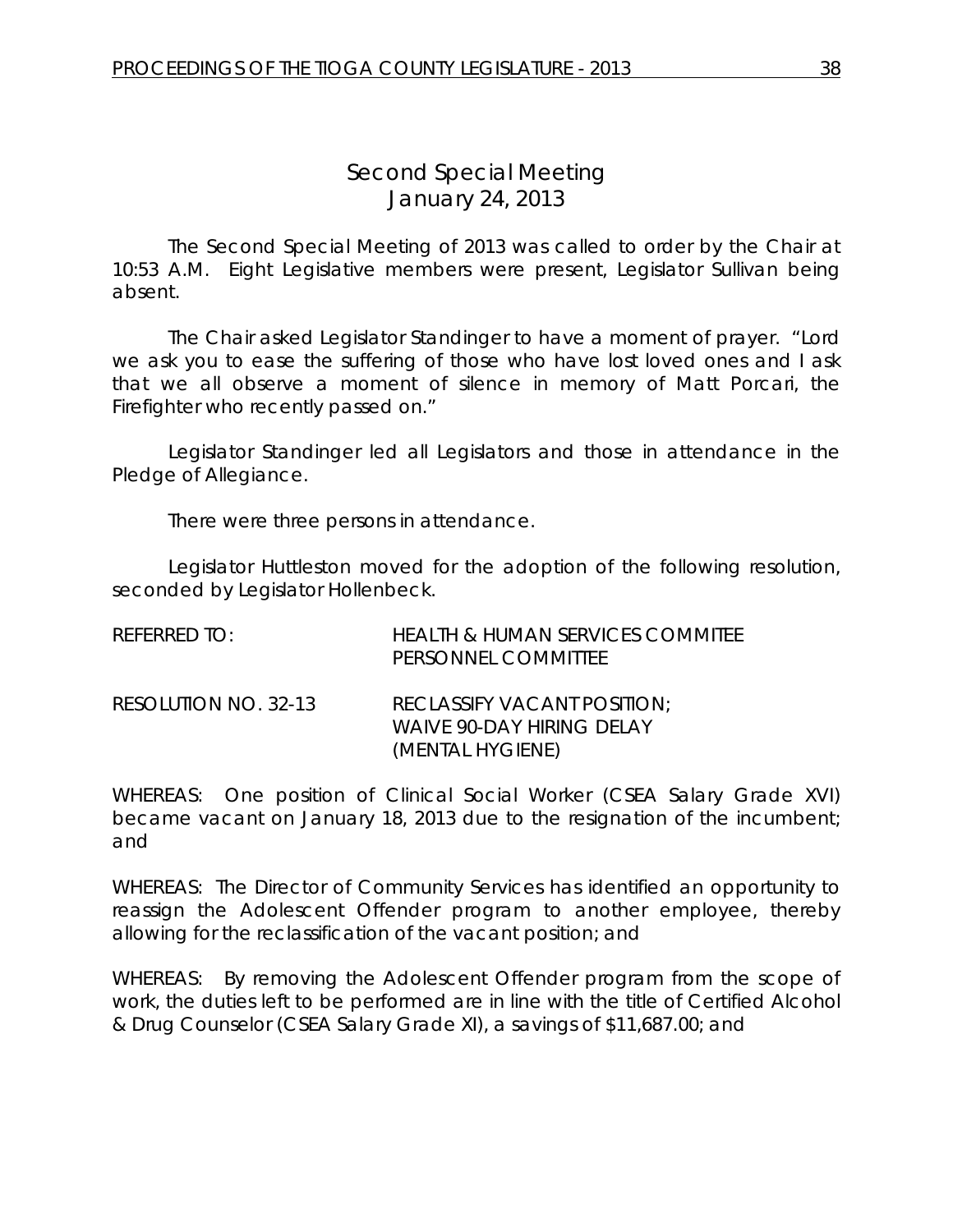## *Second Special Meeting* January 24, 2013

The Second Special Meeting of 2013 was called to order by the Chair at 10:53 A.M. Eight Legislative members were present, Legislator Sullivan being absent.

The Chair asked Legislator Standinger to have a moment of prayer. "Lord we ask you to ease the suffering of those who have lost loved ones and I ask that we all observe a moment of silence in memory of Matt Porcari, the Firefighter who recently passed on."

Legislator Standinger led all Legislators and those in attendance in the Pledge of Allegiance.

There were three persons in attendance.

Legislator Huttleston moved for the adoption of the following resolution, seconded by Legislator Hollenbeck.

| REFERRED TO:         | <b>HEALTH &amp; HUMAN SERVICES COMMITEE</b><br>PERSONNEL COMMITTEE                  |
|----------------------|-------------------------------------------------------------------------------------|
| RESOLUTION NO. 32-13 | RECLASSIFY VACANT POSITION;<br><b>WAIVE 90-DAY HIRING DELAY</b><br>(MENTAL HYGIENE) |

WHEREAS: One position of Clinical Social Worker (CSEA Salary Grade XVI) became vacant on January 18, 2013 due to the resignation of the incumbent; and

WHEREAS: The Director of Community Services has identified an opportunity to reassign the Adolescent Offender program to another employee, thereby allowing for the reclassification of the vacant position; and

WHEREAS: By removing the Adolescent Offender program from the scope of work, the duties left to be performed are in line with the title of Certified Alcohol & Drug Counselor (CSEA Salary Grade XI), a savings of \$11,687.00; and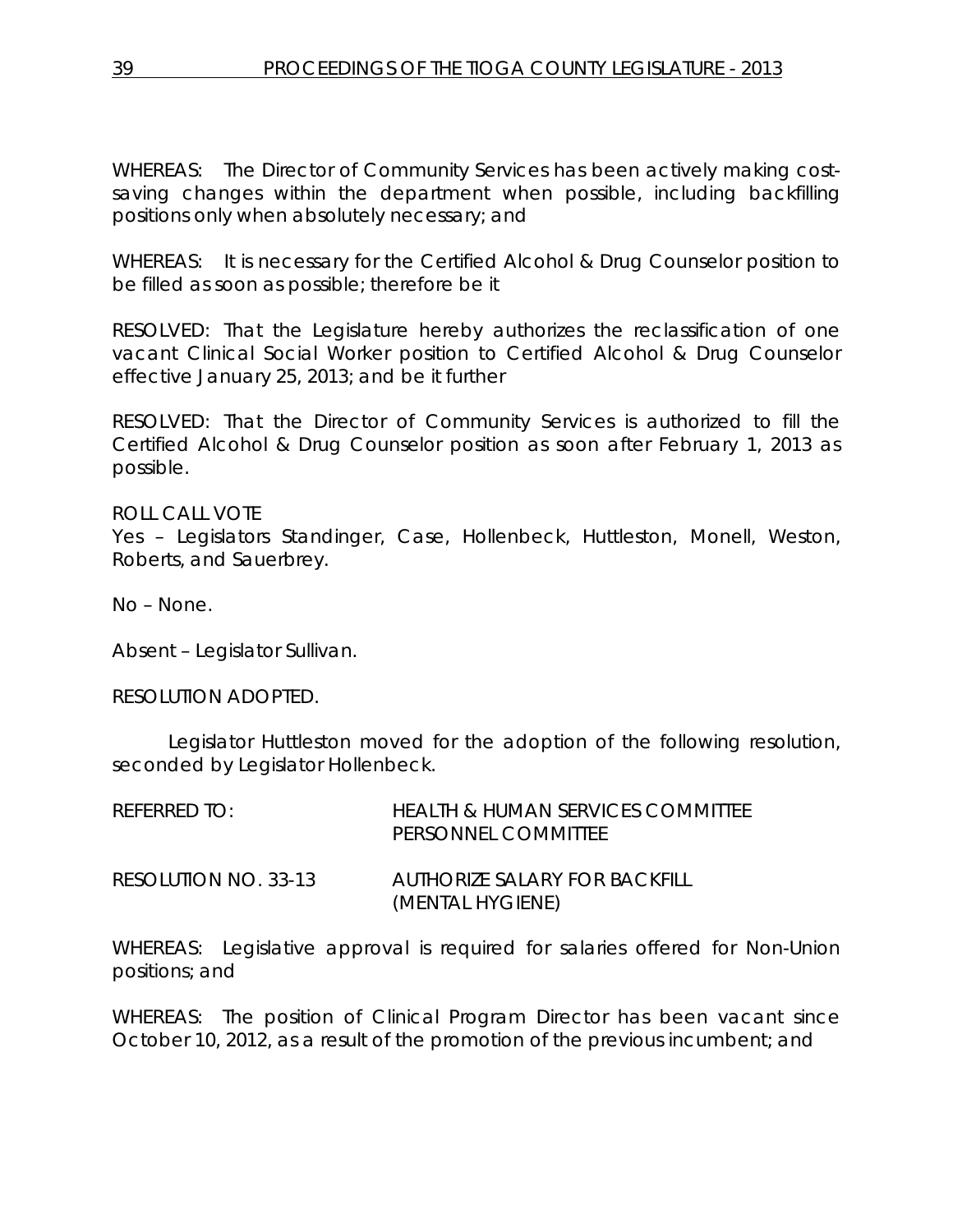WHEREAS: The Director of Community Services has been actively making costsaving changes within the department when possible, including backfilling positions only when absolutely necessary; and

WHEREAS: It is necessary for the Certified Alcohol & Drug Counselor position to be filled as soon as possible; therefore be it

RESOLVED: That the Legislature hereby authorizes the reclassification of one vacant Clinical Social Worker position to Certified Alcohol & Drug Counselor effective January 25, 2013; and be it further

RESOLVED: That the Director of Community Services is authorized to fill the Certified Alcohol & Drug Counselor position as soon after February 1, 2013 as possible.

ROLL CALL VOTE Yes – Legislators Standinger, Case, Hollenbeck, Huttleston, Monell, Weston, Roberts, and Sauerbrey.

No – None.

Absent – Legislator Sullivan.

RESOLUTION ADOPTED.

Legislator Huttleston moved for the adoption of the following resolution, seconded by Legislator Hollenbeck.

| REFERRED TO:         | HEALTH & HUMAN SERVICES COMMITTEE<br>PERSONNEL COMMITTEE |
|----------------------|----------------------------------------------------------|
| RESOLUTION NO. 33-13 | AUTHORIZE SALARY FOR BACKEILL<br>(MENTAL HYGIENE)        |

WHEREAS: Legislative approval is required for salaries offered for Non-Union positions; and

WHEREAS: The position of Clinical Program Director has been vacant since October 10, 2012, as a result of the promotion of the previous incumbent; and